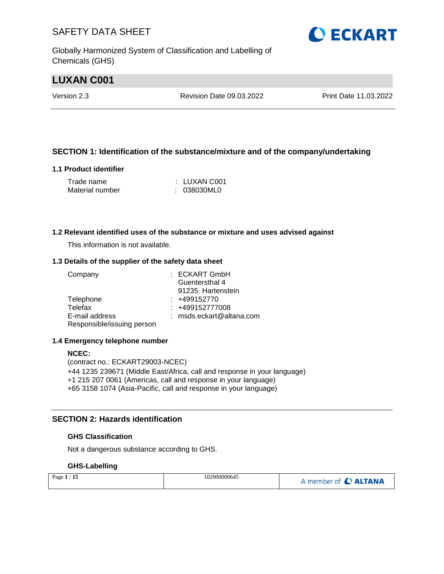Globally Harmonized System of Classification and Labelling of Chemicals (GHS)

# **LUXAN C001**

Version 2.3 Revision Date 09.03.2022 Print Date 11.03.2022

#### **SECTION 1: Identification of the substance/mixture and of the company/undertaking**

#### **1.1 Product identifier**

| Trade name      | : LUXAN C001 |
|-----------------|--------------|
| Material number | : 038030ML0  |

#### **1.2 Relevant identified uses of the substance or mixture and uses advised against**

This information is not available.

#### **1.3 Details of the supplier of the safety data sheet**

| Company                    | : ECKART GmbH            |
|----------------------------|--------------------------|
|                            | Guentersthal 4           |
|                            | 91235 Hartenstein        |
| Telephone                  | $: +499152770$           |
| Telefax                    | : +499152777008          |
| E-mail address             | : msds.eckart@altana.com |
| Responsible/issuing person |                          |

#### **1.4 Emergency telephone number**

#### **NCEC:**

(contract no.: ECKART29003-NCEC) +44 1235 239671 (Middle East/Africa, call and response in your language) +1 215 207 0061 (Americas, call and response in your language) +65 3158 1074 (Asia-Pacific, call and response in your language)

#### **SECTION 2: Hazards identification**

#### **GHS Classification**

Not a dangerous substance according to GHS.

#### **GHS-Labelling**

| Page $1/15$ | 102000000645 | A member of C ALTANA |
|-------------|--------------|----------------------|
|-------------|--------------|----------------------|

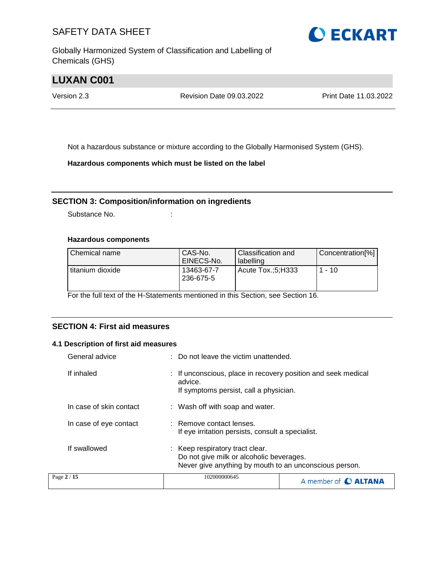Globally Harmonized System of Classification and Labelling of Chemicals (GHS)



# **LUXAN C001**

Version 2.3 Revision Date 09.03.2022 Print Date 11.03.2022

Not a hazardous substance or mixture according to the Globally Harmonised System (GHS).

**Hazardous components which must be listed on the label**

#### **SECTION 3: Composition/information on ingredients**

Substance No. **:** :

#### **Hazardous components**

| Chemical name    | CAS-No.<br>EINECS-No.   | <b>Classification and</b><br>l labelling | Concentration[%] |
|------------------|-------------------------|------------------------------------------|------------------|
| titanium dioxide | 13463-67-7<br>236-675-5 | Acute Tox.:5:H333                        | $1 - 10$         |

For the full text of the H-Statements mentioned in this Section, see Section 16.

#### **SECTION 4: First aid measures**

#### **4.1 Description of first aid measures**

| General advice          | : Do not leave the victim unattended.                                                                                                 |  |
|-------------------------|---------------------------------------------------------------------------------------------------------------------------------------|--|
| If inhaled              | If unconscious, place in recovery position and seek medical<br>advice.<br>If symptoms persist, call a physician.                      |  |
| In case of skin contact | : Wash off with soap and water.                                                                                                       |  |
| In case of eye contact  | : Remove contact lenses.<br>If eye irritation persists, consult a specialist.                                                         |  |
| If swallowed            | : Keep respiratory tract clear.<br>Do not give milk or alcoholic beverages.<br>Never give anything by mouth to an unconscious person. |  |
| Page 2 / 15             | 102000000645<br>A member of <b>C ALTANA</b>                                                                                           |  |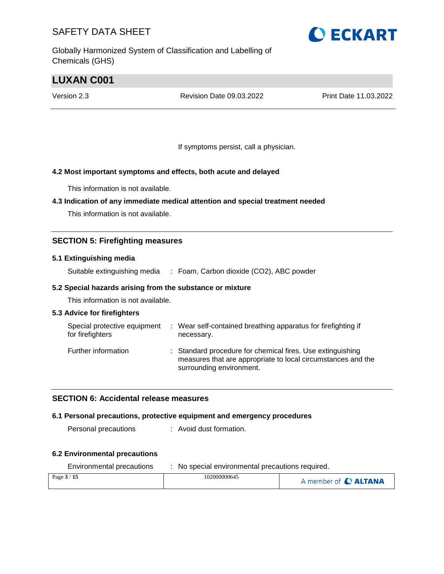Globally Harmonized System of Classification and Labelling of Chemicals (GHS)

# **O ECKART**

# **LUXAN C001**

Version 2.3 Revision Date 09.03.2022 Print Date 11.03.2022

If symptoms persist, call a physician.

#### **4.2 Most important symptoms and effects, both acute and delayed**

This information is not available.

#### **4.3 Indication of any immediate medical attention and special treatment needed**

This information is not available.

#### **SECTION 5: Firefighting measures**

#### **5.1 Extinguishing media**

Suitable extinguishing media : Foam, Carbon dioxide (CO2), ABC powder

#### **5.2 Special hazards arising from the substance or mixture**

This information is not available.

#### **5.3 Advice for firefighters**

| Special protective equipment<br>for firefighters | : Wear self-contained breathing apparatus for firefighting if<br>necessary.                                                                            |
|--------------------------------------------------|--------------------------------------------------------------------------------------------------------------------------------------------------------|
| Further information                              | : Standard procedure for chemical fires. Use extinguishing<br>measures that are appropriate to local circumstances and the<br>surrounding environment. |

#### **SECTION 6: Accidental release measures**

#### **6.1 Personal precautions, protective equipment and emergency procedures**

Personal precautions : Avoid dust formation.

#### **6.2 Environmental precautions**

| Environmental precautions | No special environmental precautions required. |                      |  |
|---------------------------|------------------------------------------------|----------------------|--|
| Page $3/15$               | 102000000645                                   | A member of C ALTANA |  |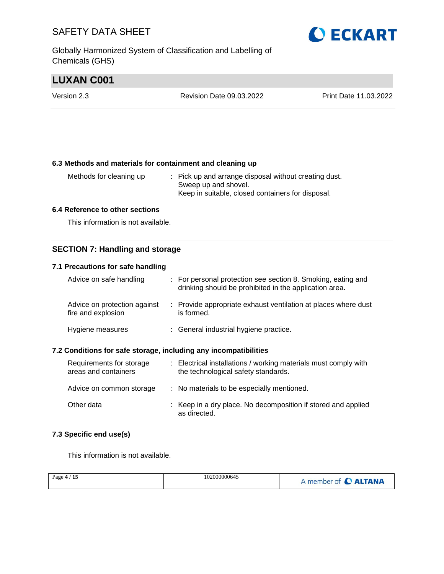Globally Harmonized System of Classification and Labelling of Chemicals (GHS)

# **O ECKART**

# **LUXAN C001**

| Version 2.3 | Revision Date 09.03.2022 | <b>Print Date 11.03.2022</b> |
|-------------|--------------------------|------------------------------|
|             |                          |                              |

#### **6.3 Methods and materials for containment and cleaning up**

| Methods for cleaning up | : Pick up and arrange disposal without creating dust. |
|-------------------------|-------------------------------------------------------|
|                         | Sweep up and shovel.                                  |
|                         | Keep in suitable, closed containers for disposal.     |

#### **6.4 Reference to other sections**

This information is not available.

#### **SECTION 7: Handling and storage**

#### **7.1 Precautions for safe handling**

| Advice on safe handling                            | : For personal protection see section 8. Smoking, eating and<br>drinking should be prohibited in the application area. |
|----------------------------------------------------|------------------------------------------------------------------------------------------------------------------------|
| Advice on protection against<br>fire and explosion | : Provide appropriate exhaust ventilation at places where dust<br>is formed.                                           |
| Hygiene measures                                   | : General industrial hygiene practice.                                                                                 |

#### **7.2 Conditions for safe storage, including any incompatibilities**

| Requirements for storage<br>areas and containers | : Electrical installations / working materials must comply with<br>the technological safety standards. |
|--------------------------------------------------|--------------------------------------------------------------------------------------------------------|
| Advice on common storage                         | : No materials to be especially mentioned.                                                             |
| Other data                                       | : Keep in a dry place. No decomposition if stored and applied<br>as directed.                          |

#### **7.3 Specific end use(s)**

This information is not available.

| Page $4/15$ | 102000000645 | A member of C ALTANA |
|-------------|--------------|----------------------|
|             |              |                      |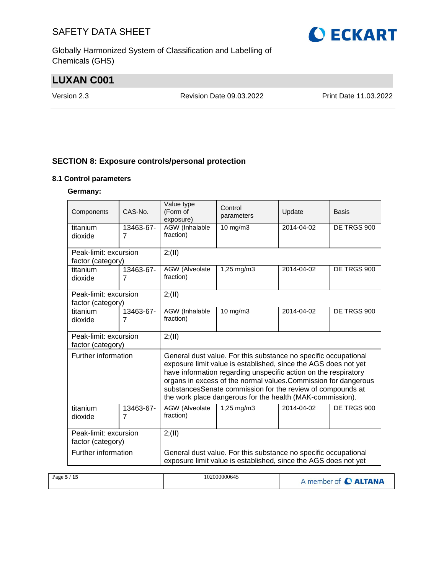Globally Harmonized System of Classification and Labelling of Chemicals (GHS)

# **LUXAN C001**

Version 2.3 Revision Date 09.03.2022 Print Date 11.03.2022

#### **SECTION 8: Exposure controls/personal protection**

#### **8.1 Control parameters**

#### **Germany:**

| Components            | CAS-No.        | Value type<br>(Form of<br>exposure)                             | Control<br>parameters                                                                                                                                                                                                                                                                                                                                                                               | Update     | Basis       |
|-----------------------|----------------|-----------------------------------------------------------------|-----------------------------------------------------------------------------------------------------------------------------------------------------------------------------------------------------------------------------------------------------------------------------------------------------------------------------------------------------------------------------------------------------|------------|-------------|
| titanium              | 13463-67-      | AGW (Inhalable                                                  | 10 mg/m3                                                                                                                                                                                                                                                                                                                                                                                            | 2014-04-02 | DE TRGS 900 |
| dioxide               | $\overline{7}$ | fraction)                                                       |                                                                                                                                                                                                                                                                                                                                                                                                     |            |             |
| Peak-limit: excursion |                | 2; (II)                                                         |                                                                                                                                                                                                                                                                                                                                                                                                     |            |             |
| factor (category)     |                |                                                                 |                                                                                                                                                                                                                                                                                                                                                                                                     |            |             |
| titanium              | 13463-67-      | AGW (Alveolate                                                  | 1,25 mg/m3                                                                                                                                                                                                                                                                                                                                                                                          | 2014-04-02 | DE TRGS 900 |
| dioxide               | $\overline{7}$ | fraction)                                                       |                                                                                                                                                                                                                                                                                                                                                                                                     |            |             |
| Peak-limit: excursion |                | 2; (II)                                                         |                                                                                                                                                                                                                                                                                                                                                                                                     |            |             |
| factor (category)     |                |                                                                 |                                                                                                                                                                                                                                                                                                                                                                                                     |            |             |
| titanium              | 13463-67-      | AGW (Inhalable                                                  | $10$ mg/m $3$                                                                                                                                                                                                                                                                                                                                                                                       | 2014-04-02 | DE TRGS 900 |
| dioxide               | $\overline{7}$ | fraction)                                                       |                                                                                                                                                                                                                                                                                                                                                                                                     |            |             |
| Peak-limit: excursion |                | 2; (II)                                                         |                                                                                                                                                                                                                                                                                                                                                                                                     |            |             |
| factor (category)     |                |                                                                 |                                                                                                                                                                                                                                                                                                                                                                                                     |            |             |
| Further information   |                |                                                                 | General dust value. For this substance no specific occupational<br>exposure limit value is established, since the AGS does not yet<br>have information regarding unspecific action on the respiratory<br>organs in excess of the normal values. Commission for dangerous<br>substancesSenate commission for the review of compounds at<br>the work place dangerous for the health (MAK-commission). |            |             |
| titanium              | 13463-67-      | AGW (Alveolate                                                  | 1,25 mg/m3                                                                                                                                                                                                                                                                                                                                                                                          | 2014-04-02 | DE TRGS 900 |
| dioxide               | $\overline{7}$ | fraction)                                                       |                                                                                                                                                                                                                                                                                                                                                                                                     |            |             |
| Peak-limit: excursion |                | 2; (II)                                                         |                                                                                                                                                                                                                                                                                                                                                                                                     |            |             |
| factor (category)     |                |                                                                 |                                                                                                                                                                                                                                                                                                                                                                                                     |            |             |
| Further information   |                | General dust value. For this substance no specific occupational |                                                                                                                                                                                                                                                                                                                                                                                                     |            |             |
|                       |                | exposure limit value is established, since the AGS does not yet |                                                                                                                                                                                                                                                                                                                                                                                                     |            |             |
|                       |                |                                                                 |                                                                                                                                                                                                                                                                                                                                                                                                     |            |             |

| 102000000645<br>Page $5/15$ | A member of C ALTANA |
|-----------------------------|----------------------|
|-----------------------------|----------------------|

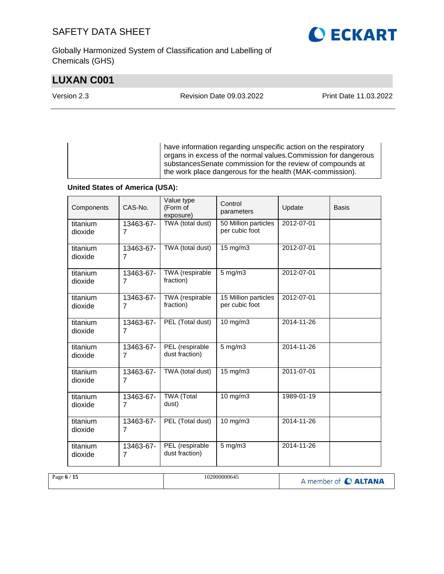Globally Harmonized System of Classification and Labelling of Chemicals (GHS)

# **LUXAN C001**

**O ECKART** 

Version 2.3 Revision Date 09.03.2022 Print Date 11.03.2022

have information regarding unspecific action on the respiratory organs in excess of the normal values.Commission for dangerous substancesSenate commission for the review of compounds at the work place dangerous for the health (MAK-commission).

#### **United States of America (USA):**

| Components          | CAS-No.                     | Value type<br>(Form of<br>exposure) | Control<br>parameters                  | Update           | <b>Basis</b> |
|---------------------|-----------------------------|-------------------------------------|----------------------------------------|------------------|--------------|
| titanium<br>dioxide | 13463-67-<br>7              | TWA (total dust)                    | 50 Million particles<br>per cubic foot | 2012-07-01       |              |
| titanium<br>dioxide | 13463-67-<br>7              | TWA (total dust)                    | 15 mg/m3                               | 2012-07-01       |              |
| titanium<br>dioxide | 13463-67-<br>$\overline{7}$ | TWA (respirable<br>fraction)        | $5$ mg/m $3$                           | 2012-07-01       |              |
| titanium<br>dioxide | 13463-67-<br>7              | TWA (respirable<br>fraction)        | 15 Million particles<br>per cubic foot | 2012-07-01       |              |
| titanium<br>dioxide | 13463-67-<br>7              | PEL (Total dust)                    | 10 mg/m3                               | 2014-11-26       |              |
| titanium<br>dioxide | 13463-67-<br>$\overline{7}$ | PEL (respirable<br>dust fraction)   | $5$ mg/m $3$                           | 2014-11-26       |              |
| titanium<br>dioxide | 13463-67-<br>$\overline{7}$ | TWA (total dust)                    | 15 mg/m3                               | 2011-07-01       |              |
| titanium<br>dioxide | 13463-67-<br>7              | <b>TWA</b> (Total<br>dust)          | $10$ mg/m $3$                          | 1989-01-19       |              |
| titanium<br>dioxide | 13463-67-<br>$\overline{7}$ | PEL (Total dust)                    | 10 mg/m3                               | $2014 - 11 - 26$ |              |
| titanium<br>dioxide | 13463-67-<br>7              | PEL (respirable<br>dust fraction)   | 5 mg/m3                                | 2014-11-26       |              |

| Page $6/15$ | 102000000645 | A member of C ALTANA |
|-------------|--------------|----------------------|
|-------------|--------------|----------------------|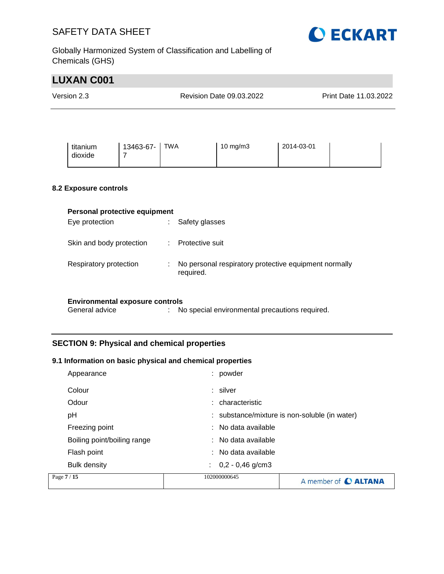

Globally Harmonized System of Classification and Labelling of Chemicals (GHS)

|                                                                                                   | <b>LUXAN C001</b>                                        |                          |                                                                                                                 |                                                |                       |  |
|---------------------------------------------------------------------------------------------------|----------------------------------------------------------|--------------------------|-----------------------------------------------------------------------------------------------------------------|------------------------------------------------|-----------------------|--|
| Version 2.3                                                                                       |                                                          | Revision Date 09.03.2022 |                                                                                                                 |                                                | Print Date 11,03,2022 |  |
|                                                                                                   |                                                          |                          |                                                                                                                 |                                                |                       |  |
|                                                                                                   | titanium<br>dioxide                                      | 13463-67-<br>7           | <b>TWA</b>                                                                                                      | 10 mg/m3                                       | 2014-03-01            |  |
|                                                                                                   | 8.2 Exposure controls                                    |                          |                                                                                                                 |                                                |                       |  |
|                                                                                                   | Personal protective equipment<br>Eye protection          |                          | Safety glasses<br>÷.                                                                                            |                                                |                       |  |
|                                                                                                   | Skin and body protection<br>Protective suit<br>÷         |                          |                                                                                                                 |                                                |                       |  |
| Respiratory protection<br>No personal respiratory protective equipment normally<br>÷<br>required. |                                                          |                          |                                                                                                                 |                                                |                       |  |
|                                                                                                   | <b>Environmental exposure controls</b><br>General advice |                          |                                                                                                                 | No special environmental precautions required. |                       |  |
|                                                                                                   |                                                          |                          | <b>SECTION 9: Physical and chemical properties</b><br>9.1 Information on basic physical and chemical properties |                                                |                       |  |

| Appearance                  | : powder                 |                                               |
|-----------------------------|--------------------------|-----------------------------------------------|
| Colour                      | : silver                 |                                               |
| Odour                       | : characteristic         |                                               |
| рH                          |                          | : substance/mixture is non-soluble (in water) |
| Freezing point              | $:$ No data available    |                                               |
| Boiling point/boiling range | $:$ No data available    |                                               |
| Flash point                 | $:$ No data available    |                                               |
| <b>Bulk density</b>         | $0,2 - 0,46$ g/cm3<br>÷. |                                               |
| Page 7 / 15                 | 102000000645             | A member of <b>C ALTANA</b>                   |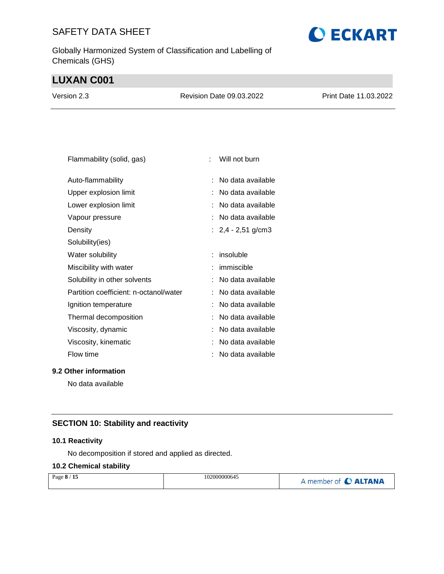Globally Harmonized System of Classification and Labelling of Chemicals (GHS)

# **LUXAN C001**

| Version 2.3 | Revision Date 09.03.2022 | Print Date 11.03.2022 |
|-------------|--------------------------|-----------------------|
|             |                          |                       |

| Flammability (solid, gas)              |   | Will not burn        |
|----------------------------------------|---|----------------------|
| Auto-flammability                      |   | No data available    |
| Upper explosion limit                  |   | No data available    |
| Lower explosion limit                  |   | No data available    |
| Vapour pressure                        |   | No data available    |
| Density                                |   | : $2,4 - 2,51$ g/cm3 |
| Solubility(ies)                        |   |                      |
| Water solubility                       |   | insoluble            |
| Miscibility with water                 |   | immiscible           |
| Solubility in other solvents           |   | No data available    |
| Partition coefficient: n-octanol/water |   | No data available    |
| Ignition temperature                   |   | No data available    |
| Thermal decomposition                  |   | No data available    |
| Viscosity, dynamic                     |   | No data available    |
| Viscosity, kinematic                   |   | No data available    |
| Flow time                              | t | No data available    |
|                                        |   |                      |

**9.2 Other information**

No data available

#### **SECTION 10: Stability and reactivity**

#### **10.1 Reactivity**

No decomposition if stored and applied as directed.

#### **10.2 Chemical stability**

| Page 8 / 15 | 102000000645 | A member of C ALTANA |
|-------------|--------------|----------------------|
|             |              |                      |

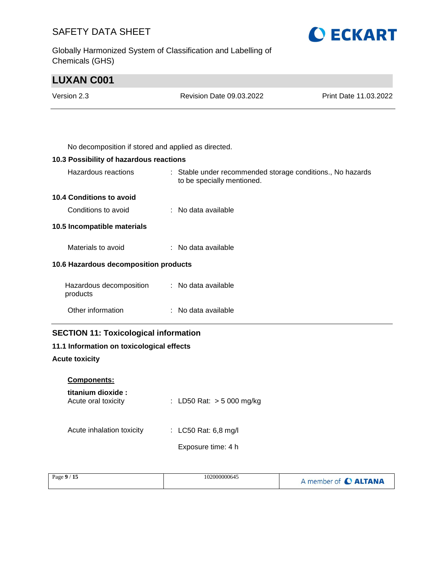Globally Harmonized System of Classification and Labelling of Chemicals (GHS)



# **LUXAN C001** Version 2.3 Revision Date 09.03.2022 Print Date 11.03.2022

| No decomposition if stored and applied as directed. |  |
|-----------------------------------------------------|--|

#### **10.3 Possibility of hazardous reactions**

| Hazardous reactions                                     | : Stable under recommended storage conditions., No hazards<br>to be specially mentioned. |
|---------------------------------------------------------|------------------------------------------------------------------------------------------|
| 10.4 Conditions to avoid                                |                                                                                          |
| Conditions to avoid                                     | $:$ No data available                                                                    |
| 10.5 Incompatible materials                             |                                                                                          |
| Materials to avoid                                      | $:$ No data available                                                                    |
| 10.6 Hazardous decomposition products                   |                                                                                          |
| Hazardous decomposition : No data available<br>products |                                                                                          |
| Other information                                       | : No data available                                                                      |

#### **SECTION 11: Toxicological information**

#### **11.1 Information on toxicological effects**

#### **Acute toxicity**

| <b>Components:</b> |  |
|--------------------|--|
| titanium dioxide   |  |

| titanium gioxige :<br>Acute oral toxicity | : LD50 Rat: $> 5000$ mg/kg |
|-------------------------------------------|----------------------------|
| Acute inhalation toxicity                 | : LC50 Rat: 6,8 mg/l       |
|                                           | Exposure time: 4 h         |
|                                           |                            |

| Page 9 / 15<br>102000000645 | A member of C ALTANA |
|-----------------------------|----------------------|
|-----------------------------|----------------------|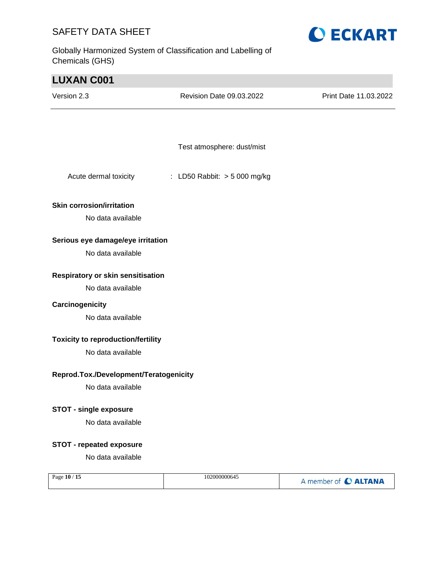Globally Harmonized System of Classification and Labelling of Chemicals (GHS)



| <b>LUXAN C001</b>                         |                               |                       |
|-------------------------------------------|-------------------------------|-----------------------|
| Version 2.3                               | Revision Date 09.03.2022      | Print Date 11.03.2022 |
|                                           |                               |                       |
|                                           |                               |                       |
|                                           | Test atmosphere: dust/mist    |                       |
| Acute dermal toxicity                     | : LD50 Rabbit: $> 5000$ mg/kg |                       |
| <b>Skin corrosion/irritation</b>          |                               |                       |
| No data available                         |                               |                       |
| Serious eye damage/eye irritation         |                               |                       |
| No data available                         |                               |                       |
| Respiratory or skin sensitisation         |                               |                       |
| No data available                         |                               |                       |
| Carcinogenicity                           |                               |                       |
| No data available                         |                               |                       |
| <b>Toxicity to reproduction/fertility</b> |                               |                       |
| No data available                         |                               |                       |
| Reprod.Tox./Development/Teratogenicity    |                               |                       |
| No data available                         |                               |                       |
| <b>STOT - single exposure</b>             |                               |                       |
| No data available                         |                               |                       |
| <b>STOT - repeated exposure</b>           |                               |                       |
| No data available                         |                               |                       |
| Page 10 / 15                              | 102000000645                  | A member of C ALTANA  |
|                                           |                               |                       |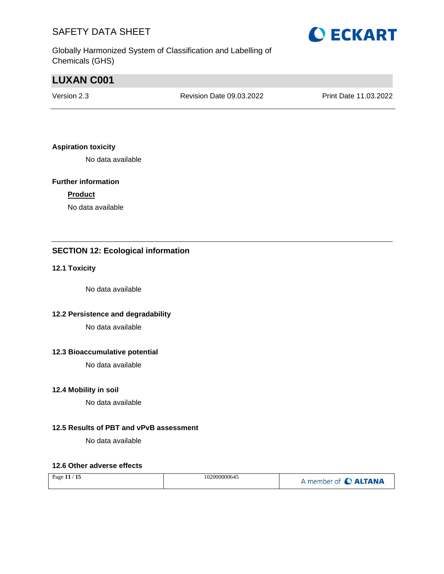Globally Harmonized System of Classification and Labelling of Chemicals (GHS)

# **LUXAN C001**

Version 2.3 Revision Date 09.03.2022 Print Date 11.03.2022

#### **Aspiration toxicity**

No data available

#### **Further information**

#### **Product**

No data available

#### **SECTION 12: Ecological information**

#### **12.1 Toxicity**

No data available

#### **12.2 Persistence and degradability**

No data available

#### **12.3 Bioaccumulative potential**

No data available

#### **12.4 Mobility in soil**

No data available

#### **12.5 Results of PBT and vPvB assessment**

No data available

#### **12.6 Other adverse effects**

| $^\prime$ 15<br>Page 11 $/$ | 102000000645 | member of C ALTANA |
|-----------------------------|--------------|--------------------|
|-----------------------------|--------------|--------------------|

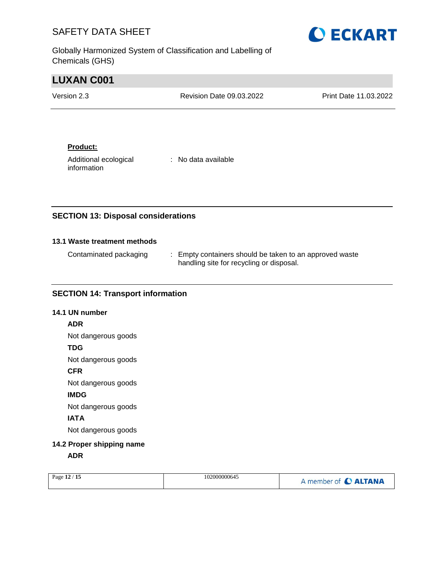Globally Harmonized System of Classification and Labelling of Chemicals (GHS)



| <b>LUXAN C001</b> |                                 |                       |
|-------------------|---------------------------------|-----------------------|
| Version 2.3       | <b>Revision Date 09.03.2022</b> | Print Date 11.03.2022 |
|                   |                                 |                       |

#### **Product:**

Additional ecological information

: No data available

#### **SECTION 13: Disposal considerations**

#### **13.1 Waste treatment methods**

| Contaminated packaging | : Empty containers should be taken to an approved waste |
|------------------------|---------------------------------------------------------|
|                        | handling site for recycling or disposal.                |

#### **SECTION 14: Transport information**

#### **14.1 UN number**

#### **ADR**

Not dangerous goods

#### **TDG**

Not dangerous goods

#### **CFR**

Not dangerous goods

#### **IMDG**

Not dangerous goods

#### **IATA**

Not dangerous goods

### **14.2 Proper shipping name**

**ADR**

|  | Page 12 / 15 | 102000000645 | A member of C ALTANA |
|--|--------------|--------------|----------------------|
|--|--------------|--------------|----------------------|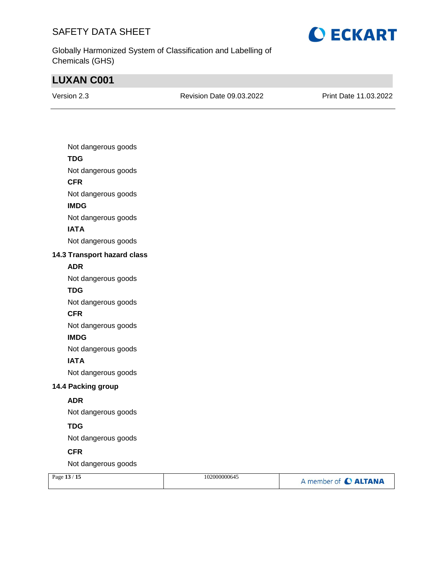

Globally Harmonized System of Classification and Labelling of Chemicals (GHS)

# **LUXAN C001**

Revision Date 09.03.2022 Print Date 11.03.2022

| Not dangerous goods         |
|-----------------------------|
| <b>TDG</b>                  |
| Not dangerous goods         |
| <b>CFR</b>                  |
| Not dangerous goods         |
| <b>IMDG</b>                 |
| Not dangerous goods         |
| <b>IATA</b>                 |
| Not dangerous goods         |
| 14.3 Transport hazard class |
| <b>ADR</b>                  |
| Not dangerous goods         |
| <b>TDG</b>                  |
| Not dangerous goods         |
| <b>CFR</b>                  |
| Not dangerous goods         |
| <b>IMDG</b>                 |
| Not dangerous goods         |
| <b>IATA</b>                 |
| Not dangerous goods         |
| 14.4 Packing group          |
| <b>ADR</b>                  |
| Not dangerous goods         |
| <b>TDG</b>                  |
| Not dangerous goods         |
| <b>CFR</b>                  |
| Not dangerous goods         |
|                             |

| A member of C ALTANA | Page 13 / 15 | 102000000645 |  |
|----------------------|--------------|--------------|--|
|----------------------|--------------|--------------|--|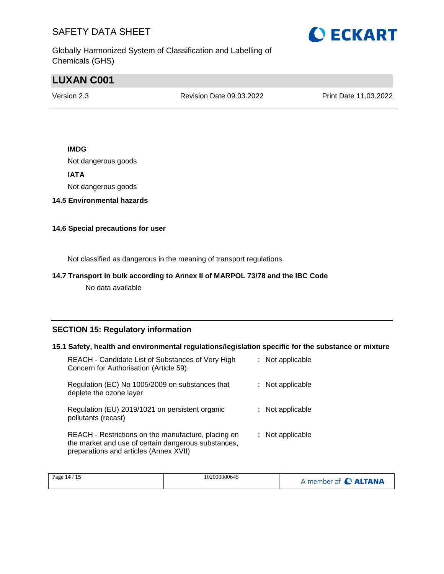

Globally Harmonized System of Classification and Labelling of Chemicals (GHS)

# **LUXAN C001**

Version 2.3 Revision Date 09.03.2022 Print Date 11.03.2022

#### **IMDG**

Not dangerous goods

#### **IATA**

Not dangerous goods

#### **14.5 Environmental hazards**

#### **14.6 Special precautions for user**

Not classified as dangerous in the meaning of transport regulations.

#### **14.7 Transport in bulk according to Annex II of MARPOL 73/78 and the IBC Code**

No data available

#### **SECTION 15: Regulatory information**

#### **15.1 Safety, health and environmental regulations/legislation specific for the substance or mixture**

| REACH - Candidate List of Substances of Very High<br>Concern for Authorisation (Article 59).                                                         | : Not applicable |
|------------------------------------------------------------------------------------------------------------------------------------------------------|------------------|
| Regulation (EC) No 1005/2009 on substances that<br>deplete the ozone layer                                                                           | : Not applicable |
| Regulation (EU) 2019/1021 on persistent organic<br>pollutants (recast)                                                                               | : Not applicable |
| REACH - Restrictions on the manufacture, placing on<br>the market and use of certain dangerous substances,<br>preparations and articles (Annex XVII) | : Not applicable |

| .<br>Page 14 /<br>-15 | 102000000645 | A member of C ALTANA |
|-----------------------|--------------|----------------------|
|-----------------------|--------------|----------------------|